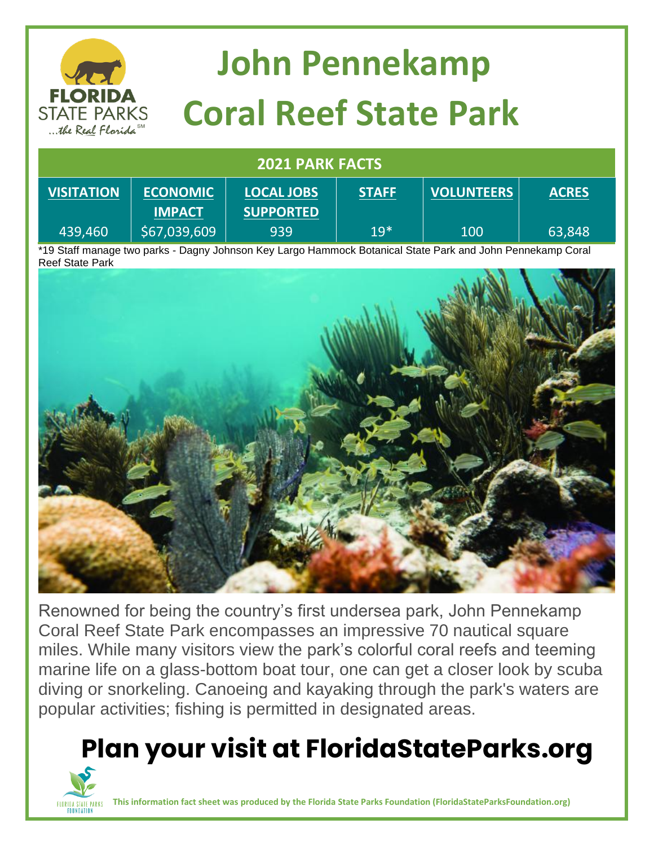

# **John Pennekamp Coral Reef State Park**

#### **2021 PARK FACTS**

| <b>VISITATION</b> | <b>ECONOMIC</b><br><b>IMPACT</b> | <b>LOCAL JOBS</b><br><b>SUPPORTED</b> | <b>STAFF</b> | <b>VOLUNTEERS</b> | <b>ACRES</b> |
|-------------------|----------------------------------|---------------------------------------|--------------|-------------------|--------------|
| 439,460           | \$67,039,609                     | 939                                   | $19*$        | 100               | 63,848       |

\*19 Staff manage two parks - Dagny Johnson Key Largo Hammock Botanical State Park and John Pennekamp Coral Reef State Park



Renowned for being the country's first undersea park, John Pennekamp Coral Reef State Park encompasses an impressive 70 nautical square miles. While many visitors view the park's colorful coral reefs and teeming marine life on a glass-bottom boat tour, one can get a closer look by scuba diving or snorkeling. Canoeing and kayaking through the park's waters are popular activities; fishing is permitted in designated areas.

### **Plan your visit at FloridaStateParks.org**



**This information fact sheet was produced by the Florida State Parks Foundation (FloridaStateParksFoundation.org)**